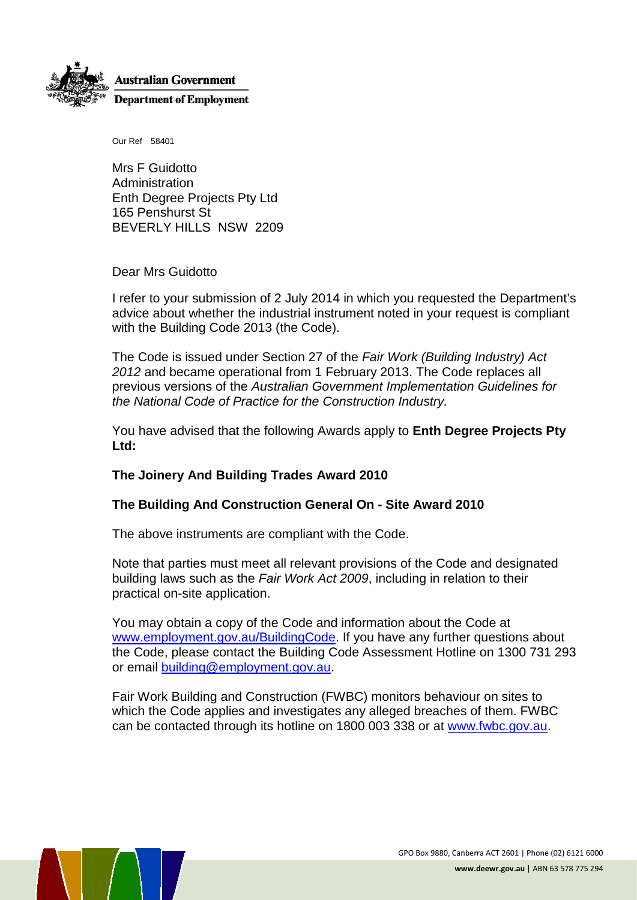

Our Ref 58401

Mrs F Guidotto Administration Enth Degree Projects Pty Ltd 165 Penshurst St BEVERLY HILLS NSW 2209

Dear Mrs Guidotto

I refer to your submission of 2 July 2014 in which you requested the Department's advice about whether the industrial instrument noted in your request is compliant with the Building Code 2013 (the Code).

The Code is issued under Section 27 of the *Fair Work (Building Industry) Act 2012* and became operational from 1 February 2013. The Code replaces all previous versions of the *Australian Government Implementation Guidelines for the National Code of Practice for the Construction Industry.*

You have advised that the following Awards apply to **Enth Degree Projects Pty Ltd:**

## **The Joinery And Building Trades Award 2010**

## **The Building And Construction General On - Site Award 2010**

The above instruments are compliant with the Code.

Note that parties must meet all relevant provisions of the Code and designated building laws such as the *Fair Work Act 2009*, including in relation to their practical on-site application.

You may obtain a copy of the Code and information about the Code at [www.employment.gov.au/BuildingCode.](http://www.employment.gov.au/BuildingCode) If you have any further questions about the Code, please contact the Building Code Assessment Hotline on 1300 731 293 or email [building@employment.gov.au.](mailto:building@employment.gov.au)

Fair Work Building and Construction (FWBC) monitors behaviour on sites to which the Code applies and investigates any alleged breaches of them. FWBC can be contacted through its hotline on 1800 003 338 or at [www.fwbc.gov.au.](http://www.fwbc.gov.au/)